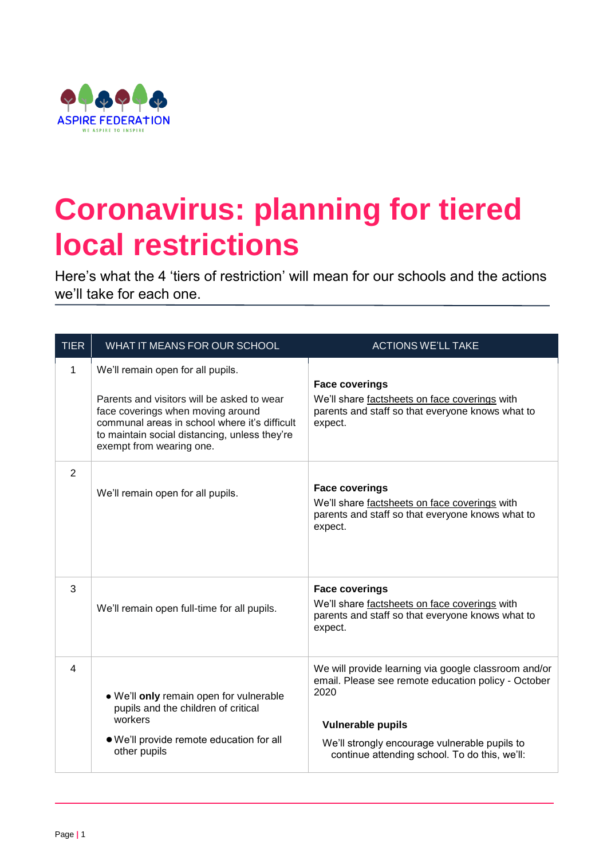

## **Coronavirus: planning for tiered local restrictions**

Here's what the 4 'tiers of restriction' will mean for our schools and the actions we'll take for each one.

| <b>TIER</b> | WHAT IT MEANS FOR OUR SCHOOL                                                                                                                                                                                                                       | <b>ACTIONS WE'LL TAKE</b>                                                                                                                                                                                                                         |
|-------------|----------------------------------------------------------------------------------------------------------------------------------------------------------------------------------------------------------------------------------------------------|---------------------------------------------------------------------------------------------------------------------------------------------------------------------------------------------------------------------------------------------------|
| 1           | We'll remain open for all pupils.<br>Parents and visitors will be asked to wear<br>face coverings when moving around<br>communal areas in school where it's difficult<br>to maintain social distancing, unless they're<br>exempt from wearing one. | <b>Face coverings</b><br>We'll share factsheets on face coverings with<br>parents and staff so that everyone knows what to<br>expect.                                                                                                             |
| 2           | We'll remain open for all pupils.                                                                                                                                                                                                                  | <b>Face coverings</b><br>We'll share factsheets on face coverings with<br>parents and staff so that everyone knows what to<br>expect.                                                                                                             |
| 3           | We'll remain open full-time for all pupils.                                                                                                                                                                                                        | <b>Face coverings</b><br>We'll share factsheets on face coverings with<br>parents and staff so that everyone knows what to<br>expect.                                                                                                             |
| 4           | . We'll only remain open for vulnerable<br>pupils and the children of critical<br>workers<br>. We'll provide remote education for all<br>other pupils                                                                                              | We will provide learning via google classroom and/or<br>email. Please see remote education policy - October<br>2020<br><b>Vulnerable pupils</b><br>We'll strongly encourage vulnerable pupils to<br>continue attending school. To do this, we'll: |